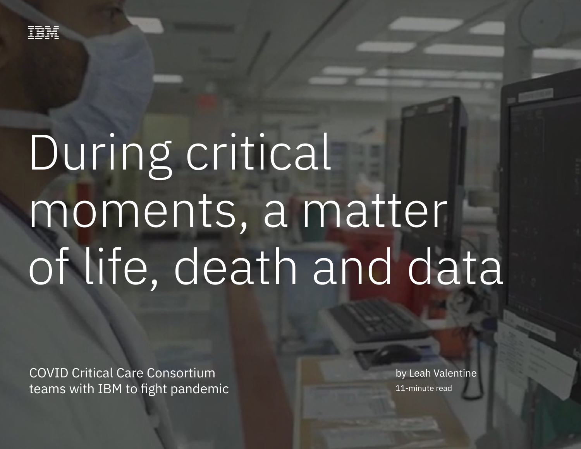

# During critical moments, a matter of life, death and data

COVID Critical Care Consortium teams with IBM to fight pandemic

by Leah Valentine 11-minute read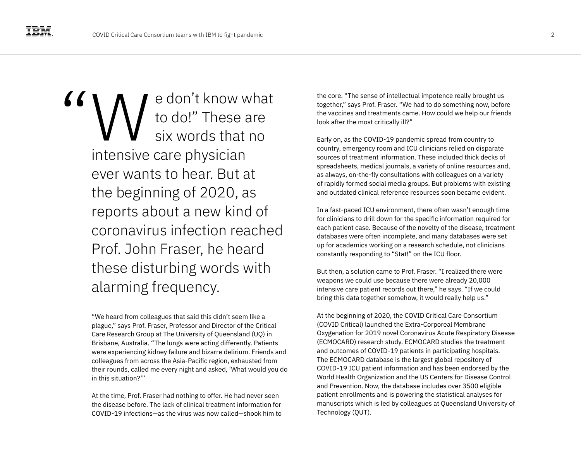e don't know what to do!" These are six words that no intensive care physician ever wants to hear. But at the beginning of 2020, as reports about a new kind of coronavirus infection reached Prof. John Fraser, he heard these disturbing words with alarming frequency. **EXERICAN SOCITY AND CONTROLL CONTROLL CONTROLL CONTROLL CONTROLL CONTROLL CONTROLL CONTROLL CONTROLL CONTROLL CONTROLL CONTROLL CONTROLL CONTROLL CONTROLL CONTROLL CONTROLL CONTROLL CONTROLL CONTROLL CONTROLL CONTROLL CON** 

"We heard from colleagues that said this didn't seem like a plague," says Prof. Fraser, Professor and Director of the Critical Care Research Group at The University of Queensland (UQ) in Brisbane, Australia. "The lungs were acting differently. Patients were experiencing kidney failure and bizarre delirium. Friends and colleagues from across the Asia-Pacific region, exhausted from their rounds, called me every night and asked, 'What would you do in this situation?'"

At the time, Prof. Fraser had nothing to offer. He had never seen the disease before. The lack of clinical treatment information for COVID-19 infections—as the virus was now called—shook him to

together," says Prof. Fraser. "We had to do something now, before the vaccines and treatments came. How could we help our friends look after the most critically ill?"

Early on, as the COVID-19 pandemic spread from country to country, emergency room and ICU clinicians relied on disparate sources of treatment information. These included thick decks of spreadsheets, medical journals, a variety of online resources and, as always, on-the-fly consultations with colleagues on a variety of rapidly formed social media groups. But problems with existing and outdated clinical reference resources soon became evident.

In a fast-paced ICU environment, there often wasn't enough time for clinicians to drill down for the specific information required for each patient case. Because of the novelty of the disease, treatment databases were often incomplete, and many databases were set up for academics working on a research schedule, not clinicians constantly responding to "Stat!" on the ICU floor.

But then, a solution came to Prof. Fraser. "I realized there were weapons we could use because there were already 20,000 intensive care patient records out there," he says. "If we could bring this data together somehow, it would really help us."

At the beginning of 2020, the COVID Critical Care Consortium (COVID Critical) launched the Extra-Corporeal Membrane Oxygenation for 2019 novel Coronavirus Acute Respiratory Disease (ECMOCARD) research study. ECMOCARD studies the treatment and outcomes of COVID-19 patients in participating hospitals. The ECMOCARD database is the largest global repository of COVID-19 ICU patient information and has been endorsed by the World Health Organization and the US Centers for Disease Control and Prevention. Now, the database includes over 3500 eligible patient enrollments and is powering the statistical analyses for manuscripts which is led by colleagues at Queensland University of Technology (QUT).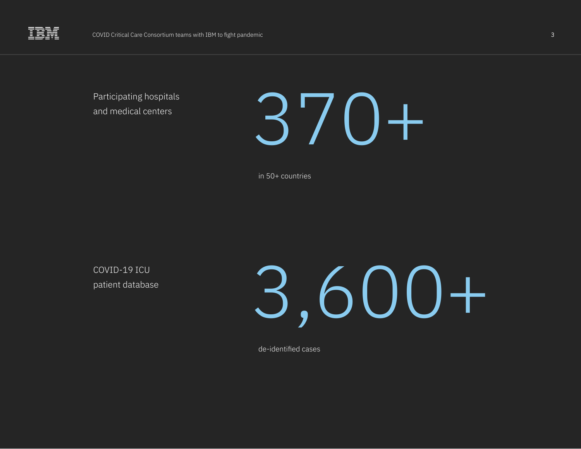Participating hospitals and medical centers



in 50+ countries

COVID-19 ICU patient database



de-identified cases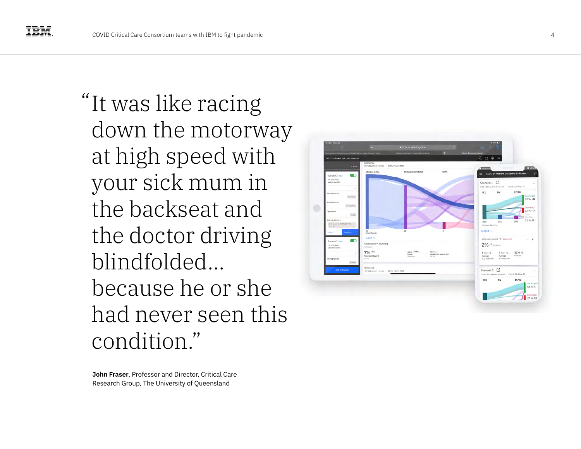"It was like racing down the motorway at high speed with your sick mum in the backseat and the doctor driving blindfolded… because he or she had never seen this condition."



**John Fraser**, Professor and Director, Critical Care Research Group, The University of Queensland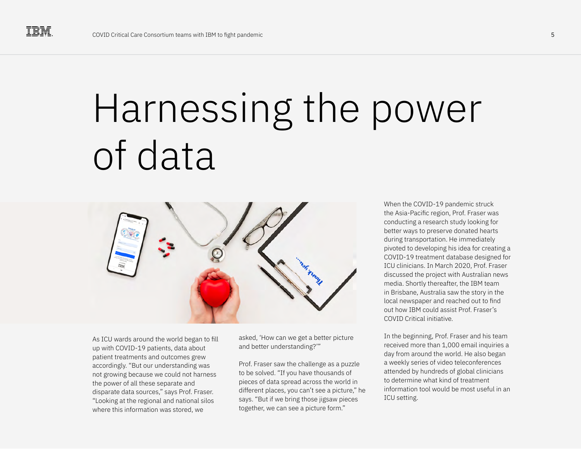#### Harnessing the power of data



As ICU wards around the world began to fill up with COVID-19 patients, data about patient treatments and outcomes grew accordingly. "But our understanding was not growing because we could not harness the power of all these separate and disparate data sources," says Prof. Fraser. "Looking at the regional and national silos where this information was stored, we

asked, 'How can we get a better picture and better understanding?'"

Prof. Fraser saw the challenge as a puzzle to be solved. "If you have thousands of pieces of data spread across the world in different places, you can't see a picture," he says. "But if we bring those jigsaw pieces together, we can see a picture form."

When the COVID-19 pandemic struck the Asia-Pacific region, Prof. Fraser was conducting a research study looking for better ways to preserve donated hearts during transportation. He immediately pivoted to developing his idea for creating a COVID-19 treatment database designed for ICU clinicians. In March 2020, Prof. Fraser discussed the project with Australian news media. Shortly thereafter, the IBM team in Brisbane, Australia saw the story in the local newspaper and reached out to find out how IBM could assist Prof. Fraser's COVID Critical initiative.

In the beginning, Prof. Fraser and his team received more than 1,000 email inquiries a day from around the world. He also began a weekly series of video teleconferences attended by hundreds of global clinicians to determine what kind of treatment information tool would be most useful in an ICU setting.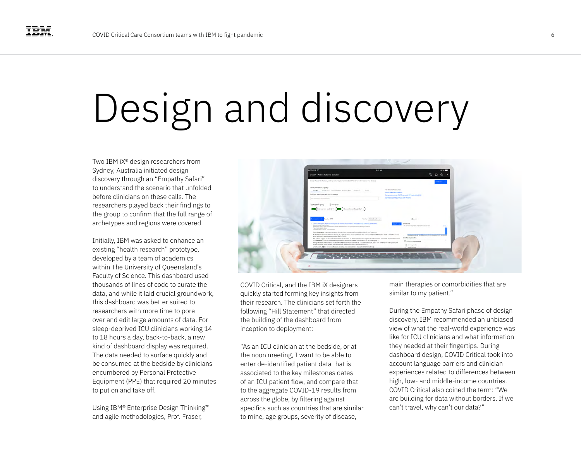## Design and discovery

Two IBM iX® design researchers from Sydney, Australia initiated design discovery through an "Empathy Safari" to understand the scenario that unfolded before clinicians on these calls. The researchers played back their findings to the group to confirm that the full range of archetypes and regions were covered.

Initially, IBM was asked to enhance an existing "health research" prototype, developed by a team of academics within The University of Oueensland's Faculty of Science. This dashboard used thousands of lines of code to curate the data, and while it laid crucial groundwork, this dashboard was better suited to researchers with more time to pore over and edit large amounts of data. For sleep-deprived ICU clinicians working 14 to 18 hours a day, back-to-back, a new kind of dashboard display was required. The data needed to surface quickly and be consumed at the bedside by clinicians encumbered by Personal Protective Equipment (PPE) that required 20 minutes to put on and take off.

Using IBM® Enterprise Design Thinking™ and agile methodologies, Prof. Fraser,



COVID Critical, and the IBM iX designers quickly started forming key insights from their research. The clinicians set forth the following "Hill Statement" that directed the building of the dashboard from inception to deployment:

"As an ICU clinician at the bedside, or at the noon meeting, I want to be able to enter de-identified patient data that is associated to the key milestones dates of an ICU patient flow, and compare that to the aggregate COVID-19 results from across the globe, by filtering against specifics such as countries that are similar to mine, age groups, severity of disease,

main therapies or comorbidities that are similar to my patient."

During the Empathy Safari phase of design discovery, IBM recommended an unbiased view of what the real-world experience was like for ICU clinicians and what information they needed at their fingertips. During dashboard design, COVID Critical took into account language barriers and clinician experiences related to differences between high, low- and middle-income countries. COVID Critical also coined the term: "We are building for data without borders. If we can't travel, why can't our data?"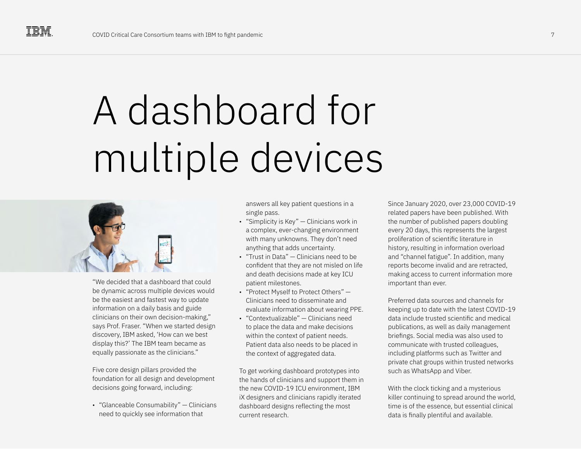# A dashboard for multiple devices



"We decided that a dashboard that could be dynamic across multiple devices would be the easiest and fastest way to update information on a daily basis and guide clinicians on their own decision-making," says Prof. Fraser. "When we started design discovery, IBM asked, 'How can we best display this?' The IBM team became as equally passionate as the clinicians."

Five core design pillars provided the foundation for all design and development decisions going forward, including:

• "Glanceable Consumability" — Clinicians need to quickly see information that

answers all key patient questions in a single pass.

- "Simplicity is Key" Clinicians work in a complex, ever-changing environment with many unknowns. They don't need anything that adds uncertainty.
- "Trust in Data" Clinicians need to be confident that they are not misled on life and death decisions made at key ICU patient milestones.
- "Protect Myself to Protect Others" Clinicians need to disseminate and evaluate information about wearing PPE.
- "Contextualizable" Clinicians need to place the data and make decisions within the context of patient needs. Patient data also needs to be placed in the context of aggregated data.

To get working dashboard prototypes into the hands of clinicians and support them in the new COVID-19 ICU environment, IBM iX designers and clinicians rapidly iterated dashboard designs reflecting the most current research.

Since January 2020, over 23,000 COVID-19 related papers have been published. With the number of published papers doubling every 20 days, this represents the largest proliferation of scientific literature in history, resulting in information overload and "channel fatigue". In addition, many reports become invalid and are retracted, making access to current information more important than ever.

Preferred data sources and channels for keeping up to date with the latest COVID-19 data include trusted scientific and medical publications, as well as daily management briefings. Social media was also used to communicate with trusted colleagues, including platforms such as Twitter and private chat groups within trusted networks such as WhatsApp and Viber.

With the clock ticking and a mysterious killer continuing to spread around the world, time is of the essence, but essential clinical data is finally plentiful and available.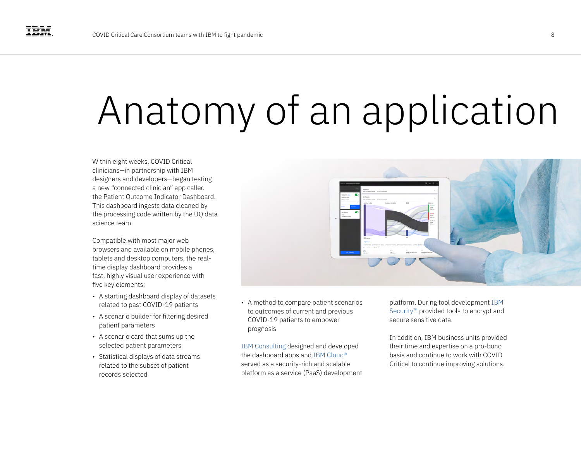### Anatomy of an application

Within eight weeks, COVID Critical clinicians—in partnership with IBM designers and developers—began testing a new "connected clinician" app called the Patient Outcome Indicator Dashboard. This dashboard ingests data cleaned by the processing code written by the UQ data science team.

Compatible with most major web browsers and available on mobile phones, tablets and desktop computers, the realtime display dashboard provides a fast, highly visual user experience with five key elements:

- A starting dashboard display of datasets related to past COVID-19 patients
- A scenario builder for filtering desired patient parameters
- A scenario card that sums up the selected patient parameters
- Statistical displays of data streams related to the subset of patient records selected



• A method to compare patient scenarios to outcomes of current and previous COVID-19 patients to empower prognosis

[IBM Consulting](https://www.ibm.com/consulting) designed and developed the dashboard apps and [IBM Cloud®](https://www.ibm.com/cloud)  served as a security-rich and scalable platform as a service (PaaS) development platform. During tool development [IBM](https://www.ibm.com/security)  [Security™](https://www.ibm.com/security) provided tools to encrypt and secure sensitive data.

In addition, IBM business units provided their time and expertise on a pro-bono basis and continue to work with COVID Critical to continue improving solutions.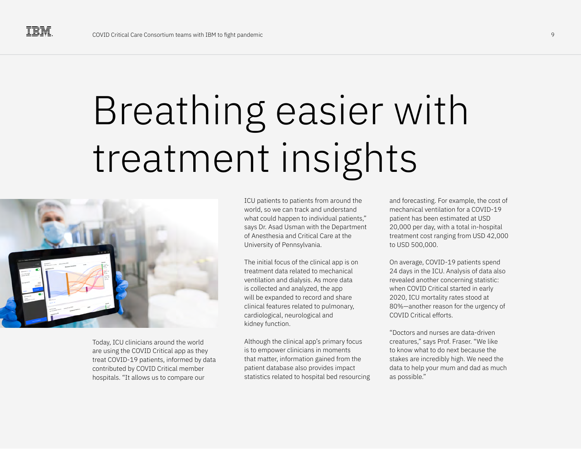# Breathing easier with treatment insights



Today, ICU clinicians around the world are using the COVID Critical app as they treat COVID-19 patients, informed by data contributed by COVID Critical member hospitals. "It allows us to compare our

ICU patients to patients from around the world, so we can track and understand what could happen to individual patients," says Dr. Asad Usman with the Department of Anesthesia and Critical Care at the University of Pennsylvania.

The initial focus of the clinical app is on treatment data related to mechanical ventilation and dialysis. As more data is collected and analyzed, the app will be expanded to record and share clinical features related to pulmonary, cardiological, neurological and kidney function.

Although the clinical app's primary focus is to empower clinicians in moments that matter, information gained from the patient database also provides impact statistics related to hospital bed resourcing and forecasting. For example, the cost of mechanical ventilation for a COVID-19 patient has been estimated at USD 20,000 per day, with a total in-hospital treatment cost ranging from USD 42,000 to USD 500,000.

On average, COVID-19 patients spend 24 days in the ICU. Analysis of data also revealed another concerning statistic: when COVID Critical started in early 2020, ICU mortality rates stood at 80%—another reason for the urgency of COVID Critical efforts.

"Doctors and nurses are data-driven creatures," says Prof. Fraser. "We like to know what to do next because the stakes are incredibly high. We need the data to help your mum and dad as much as possible."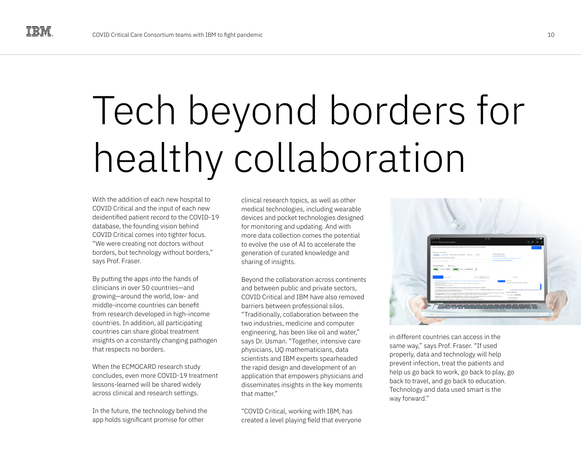# Tech beyond borders for healthy collaboration

With the addition of each new hospital to COVID Critical and the input of each new deidentified patient record to the COVID-19 database, the founding vision behind COVID Critical comes into tighter focus. "We were creating not doctors without borders, but technology without borders," says Prof. Fraser.

By putting the apps into the hands of clinicians in over 50 countries—and growing—around the world, low- and middle-income countries can benefit from research developed in high-income countries. In addition, all participating countries can share global treatment insights on a constantly changing pathogen that respects no borders.

When the ECMOCARD research study concludes, even more COVID-19 treatment lessons-learned will be shared widely across clinical and research settings.

In the future, the technology behind the app holds significant promise for other

clinical research topics, as well as other medical technologies, including wearable devices and pocket technologies designed for monitoring and updating. And with more data collection comes the potential to evolve the use of AI to accelerate the generation of curated knowledge and sharing of insights.

Beyond the collaboration across continents and between public and private sectors, COVID Critical and IBM have also removed barriers between professional silos. "Traditionally, collaboration between the two industries, medicine and computer engineering, has been like oil and water," says Dr. Usman. "Together, intensive care physicians, UQ mathematicians, data scientists and IBM experts spearheaded the rapid design and development of an application that empowers physicians and disseminates insights in the key moments that matter"

"COVID Critical, working with IBM, has created a level playing field that everyone



in different countries can access in the same way," says Prof. Fraser. "If used properly, data and technology will help prevent infection, treat the patients and help us go back to work, go back to play, go back to travel, and go back to education. Technology and data used smart is the way forward."